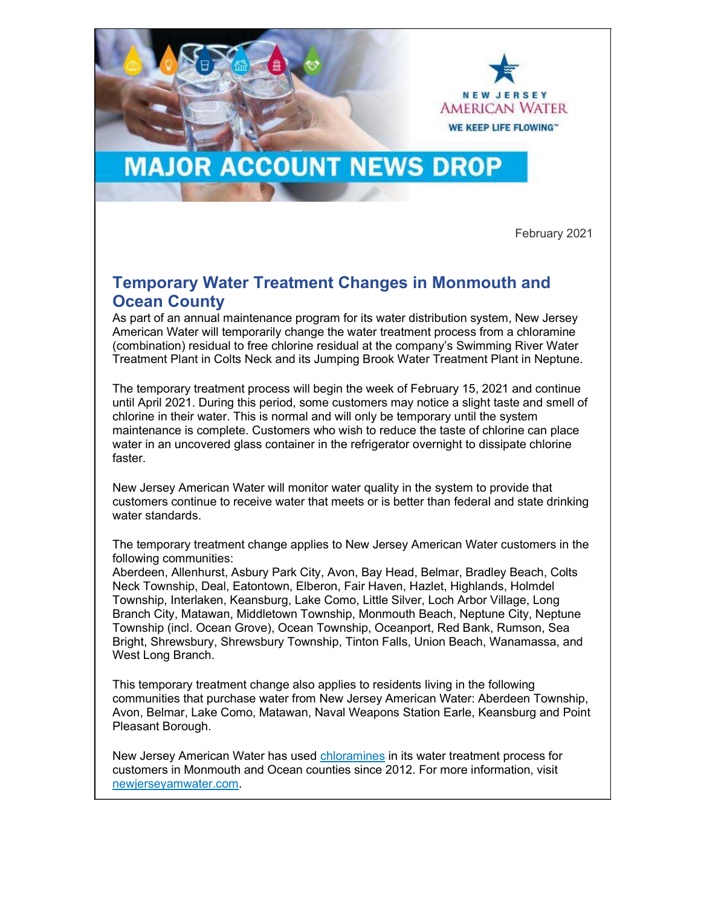

## **MAJOR ACCOUNT NEWS DROP**

February 2021

## Temporary Water Treatment Changes in Monmouth and Ocean County

As part of an annual maintenance program for its water distribution system, New Jersey American Water will temporarily change the water treatment process from a chloramine (combination) residual to free chlorine residual at the company's Swimming River Water Treatment Plant in Colts Neck and its Jumping Brook Water Treatment Plant in Neptune.

The temporary treatment process will begin the week of February 15, 2021 and continue until April 2021. During this period, some customers may notice a slight taste and smell of chlorine in their water. This is normal and will only be temporary until the system maintenance is complete. Customers who wish to reduce the taste of chlorine can place water in an uncovered glass container in the refrigerator overnight to dissipate chlorine faster.

New Jersey American Water will monitor water quality in the system to provide that customers continue to receive water that meets or is better than federal and state drinking water standards.

The temporary treatment change applies to New Jersey American Water customers in the following communities:

Aberdeen, Allenhurst, Asbury Park City, Avon, Bay Head, Belmar, Bradley Beach, Colts Neck Township, Deal, Eatontown, Elberon, Fair Haven, Hazlet, Highlands, Holmdel Township, Interlaken, Keansburg, Lake Como, Little Silver, Loch Arbor Village, Long Branch City, Matawan, Middletown Township, Monmouth Beach, Neptune City, Neptune Township (incl. Ocean Grove), Ocean Township, Oceanport, Red Bank, Rumson, Sea Bright, Shrewsbury, Shrewsbury Township, Tinton Falls, Union Beach, Wanamassa, and West Long Branch.

This temporary treatment change also applies to residents living in the following communities that purchase water from New Jersey American Water: Aberdeen Township, Avon, Belmar, Lake Como, Matawan, Naval Weapons Station Earle, Keansburg and Point Pleasant Borough.

New Jersey American Water has used chloramines in its water treatment process for customers in Monmouth and Ocean counties since 2012. For more information, visit newjerseyamwater.com.